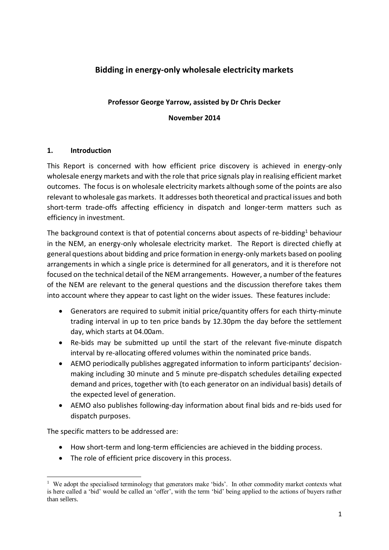# **Bidding in energy-only wholesale electricity markets**

#### **Professor George Yarrow, assisted by Dr Chris Decker**

**November 2014**

#### **1. Introduction**

This Report is concerned with how efficient price discovery is achieved in energy-only wholesale energy markets and with the role that price signals play in realising efficient market outcomes. The focus is on wholesale electricity markets although some of the points are also relevant to wholesale gas markets. It addresses both theoretical and practical issues and both short-term trade-offs affecting efficiency in dispatch and longer-term matters such as efficiency in investment.

The background context is that of potential concerns about aspects of re-bidding<sup>1</sup> behaviour in the NEM, an energy-only wholesale electricity market. The Report is directed chiefly at general questions about bidding and price formation in energy-only markets based on pooling arrangements in which a single price is determined for all generators, and it is therefore not focused on the technical detail of the NEM arrangements. However, a number of the features of the NEM are relevant to the general questions and the discussion therefore takes them into account where they appear to cast light on the wider issues. These features include:

- Generators are required to submit initial price/quantity offers for each thirty-minute trading interval in up to ten price bands by 12.30pm the day before the settlement day, which starts at 04.00am.
- Re-bids may be submitted up until the start of the relevant five-minute dispatch interval by re-allocating offered volumes within the nominated price bands.
- AEMO periodically publishes aggregated information to inform participants' decisionmaking including 30 minute and 5 minute pre-dispatch schedules detailing expected demand and prices, together with (to each generator on an individual basis) details of the expected level of generation.
- AEMO also publishes following-day information about final bids and re-bids used for dispatch purposes.

The specific matters to be addressed are:

- How short-term and long-term efficiencies are achieved in the bidding process.
- The role of efficient price discovery in this process.

<sup>1</sup> <sup>1</sup> We adopt the specialised terminology that generators make 'bids'. In other commodity market contexts what is here called a 'bid' would be called an 'offer', with the term 'bid' being applied to the actions of buyers rather than sellers.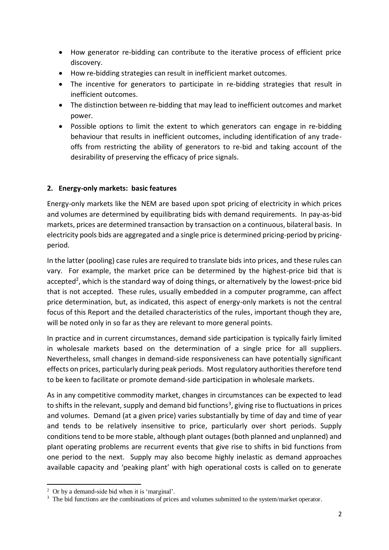- How generator re-bidding can contribute to the iterative process of efficient price discovery.
- How re-bidding strategies can result in inefficient market outcomes.
- The incentive for generators to participate in re-bidding strategies that result in inefficient outcomes.
- The distinction between re-bidding that may lead to inefficient outcomes and market power.
- Possible options to limit the extent to which generators can engage in re-bidding behaviour that results in inefficient outcomes, including identification of any tradeoffs from restricting the ability of generators to re-bid and taking account of the desirability of preserving the efficacy of price signals.

### **2. Energy-only markets: basic features**

Energy-only markets like the NEM are based upon spot pricing of electricity in which prices and volumes are determined by equilibrating bids with demand requirements. In pay-as-bid markets, prices are determined transaction by transaction on a continuous, bilateral basis. In electricity pools bids are aggregated and a single price is determined pricing-period by pricingperiod.

In the latter (pooling) case rules are required to translate bids into prices, and these rules can vary. For example, the market price can be determined by the highest-price bid that is accepted<sup>2</sup>, which is the standard way of doing things, or alternatively by the lowest-price bid that is not accepted. These rules, usually embedded in a computer programme, can affect price determination, but, as indicated, this aspect of energy-only markets is not the central focus of this Report and the detailed characteristics of the rules, important though they are, will be noted only in so far as they are relevant to more general points.

In practice and in current circumstances, demand side participation is typically fairly limited in wholesale markets based on the determination of a single price for all suppliers. Nevertheless, small changes in demand-side responsiveness can have potentially significant effects on prices, particularly during peak periods. Most regulatory authorities therefore tend to be keen to facilitate or promote demand-side participation in wholesale markets.

As in any competitive commodity market, changes in circumstances can be expected to lead to shifts in the relevant, supply and demand bid functions<sup>3</sup>, giving rise to fluctuations in prices and volumes. Demand (at a given price) varies substantially by time of day and time of year and tends to be relatively insensitive to price, particularly over short periods. Supply conditions tend to be more stable, although plant outages (both planned and unplanned) and plant operating problems are recurrent events that give rise to shifts in bid functions from one period to the next. Supply may also become highly inelastic as demand approaches available capacity and 'peaking plant' with high operational costs is called on to generate

1

<sup>2</sup> Or by a demand-side bid when it is 'marginal'.

<sup>&</sup>lt;sup>3</sup> The bid functions are the combinations of prices and volumes submitted to the system/market operator.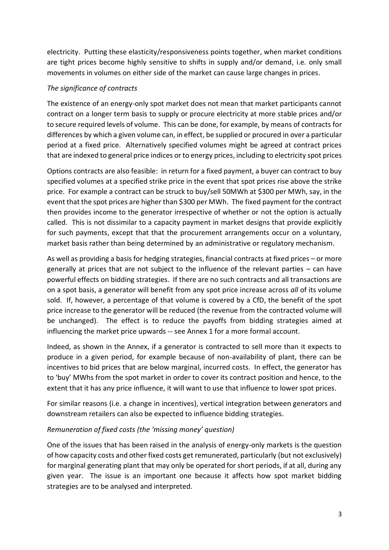electricity. Putting these elasticity/responsiveness points together, when market conditions are tight prices become highly sensitive to shifts in supply and/or demand, i.e. only small movements in volumes on either side of the market can cause large changes in prices.

#### *The significance of contracts*

The existence of an energy-only spot market does not mean that market participants cannot contract on a longer term basis to supply or procure electricity at more stable prices and/or to secure required levels of volume. This can be done, for example, by means of contracts for differences by which a given volume can, in effect, be supplied or procured in over a particular period at a fixed price. Alternatively specified volumes might be agreed at contract prices that are indexed to general price indices or to energy prices, including to electricity spot prices

Options contracts are also feasible: in return for a fixed payment, a buyer can contract to buy specified volumes at a specified strike price in the event that spot prices rise above the strike price. For example a contract can be struck to buy/sell 50MWh at \$300 per MWh, say, in the event that the spot prices are higher than \$300 per MWh. The fixed payment for the contract then provides income to the generator irrespective of whether or not the option is actually called. This is not dissimilar to a capacity payment in market designs that provide explicitly for such payments, except that that the procurement arrangements occur on a voluntary, market basis rather than being determined by an administrative or regulatory mechanism.

As well as providing a basis for hedging strategies, financial contracts at fixed prices – or more generally at prices that are not subject to the influence of the relevant parties – can have powerful effects on bidding strategies. If there are no such contracts and all transactions are on a spot basis, a generator will benefit from any spot price increase across *all* of its volume sold. If, however, a percentage of that volume is covered by a CfD, the benefit of the spot price increase to the generator will be reduced (the revenue from the contracted volume will be unchanged). The effect is to reduce the payoffs from bidding strategies aimed at influencing the market price upwards -- see Annex 1 for a more formal account.

Indeed, as shown in the Annex, if a generator is contracted to sell more than it expects to produce in a given period, for example because of non-availability of plant, there can be incentives to bid prices that are below marginal, incurred costs. In effect, the generator has to 'buy' MWhs from the spot market in order to cover its contract position and hence, to the extent that it has any price influence, it will want to use that influence to lower spot prices.

For similar reasons (i.e. a change in incentives), vertical integration between generators and downstream retailers can also be expected to influence bidding strategies.

#### *Remuneration of fixed costs (the 'missing money' question)*

One of the issues that has been raised in the analysis of energy-only markets is the question of how capacity costs and other fixed costs get remunerated, particularly (but not exclusively) for marginal generating plant that may only be operated for short periods, if at all, during any given year. The issue is an important one because it affects how spot market bidding strategies are to be analysed and interpreted.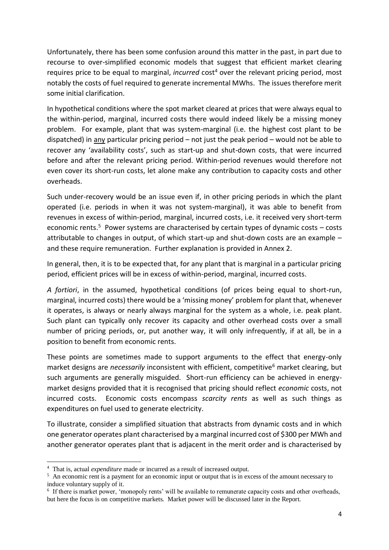Unfortunately, there has been some confusion around this matter in the past, in part due to recourse to over-simplified economic models that suggest that efficient market clearing requires price to be equal to marginal, *incurred* cost<sup>4</sup> over the relevant pricing period, most notably the costs of fuel required to generate incremental MWhs. The issues therefore merit some initial clarification.

In hypothetical conditions where the spot market cleared at prices that were always equal to the within-period, marginal, incurred costs there would indeed likely be a missing money problem. For example, plant that was system-marginal (i.e. the highest cost plant to be dispatched) in any particular pricing period – not just the peak period – would not be able to recover any 'availability costs', such as start-up and shut-down costs, that were incurred before and after the relevant pricing period. Within-period revenues would therefore not even cover its short-run costs, let alone make any contribution to capacity costs and other overheads.

Such under-recovery would be an issue even if, in other pricing periods in which the plant operated (i.e. periods in when it was not system-marginal), it was able to benefit from revenues in excess of within-period, marginal, incurred costs, i.e. it received very short-term economic rents.<sup>5</sup> Power systems are characterised by certain types of dynamic costs – costs attributable to changes in output, of which start-up and shut-down costs are an example – and these require remuneration. Further explanation is provided in Annex 2.

In general, then, it is to be expected that, for any plant that is marginal in a particular pricing period, efficient prices will be in excess of within-period, marginal, incurred costs.

*A fortiori*, in the assumed, hypothetical conditions (of prices being equal to short-run, marginal, incurred costs) there would be a 'missing money' problem for plant that, whenever it operates, is always or nearly always marginal for the system as a whole, i.e. peak plant. Such plant can typically only recover its capacity and other overhead costs over a small number of pricing periods, or, put another way, it will only infrequently, if at all, be in a position to benefit from economic rents.

These points are sometimes made to support arguments to the effect that energy-only market designs are *necessarily* inconsistent with efficient, competitive<sup>6</sup> market clearing, but such arguments are generally misguided. Short-run efficiency can be achieved in energymarket designs provided that it is recognised that pricing should reflect *economic* costs, not incurred costs. Economic costs encompass *scarcity rents* as well as such things as expenditures on fuel used to generate electricity.

To illustrate, consider a simplified situation that abstracts from dynamic costs and in which one generator operates plant characterised by a marginal incurred cost of \$300 per MWh and another generator operates plant that is adjacent in the merit order and is characterised by

**.** 

<sup>4</sup> That is, actual *expenditure* made or incurred as a result of increased output.

<sup>&</sup>lt;sup>5</sup> An economic rent is a payment for an economic input or output that is in excess of the amount necessary to induce voluntary supply of it.

<sup>&</sup>lt;sup>6</sup> If there is market power, 'monopoly rents' will be available to remunerate capacity costs and other overheads, but here the focus is on competitive markets. Market power will be discussed later in the Report.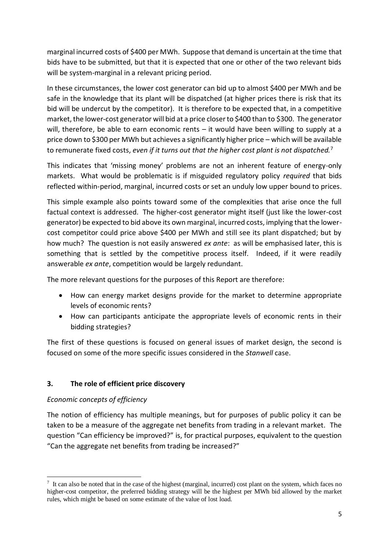marginal incurred costs of \$400 per MWh. Suppose that demand is uncertain at the time that bids have to be submitted, but that it is expected that one or other of the two relevant bids will be system-marginal in a relevant pricing period.

In these circumstances, the lower cost generator can bid up to almost \$400 per MWh and be safe in the knowledge that its plant will be dispatched (at higher prices there is risk that its bid will be undercut by the competitor). It is therefore to be expected that, in a competitive market, the lower-cost generator will bid at a price closer to \$400 than to \$300. The generator will, therefore, be able to earn economic rents – it would have been willing to supply at a price down to \$300 per MWh but achieves a significantly higher price – which will be available to remunerate fixed costs, *even if it turns out that the higher cost plant is not dispatched.*<sup>7</sup>

This indicates that 'missing money' problems are not an inherent feature of energy-only markets. What would be problematic is if misguided regulatory policy *required* that bids reflected within-period, marginal, incurred costs or set an unduly low upper bound to prices.

This simple example also points toward some of the complexities that arise once the full factual context is addressed. The higher-cost generator might itself (just like the lower-cost generator) be expected to bid above its own marginal, incurred costs, implying that the lowercost competitor could price above \$400 per MWh and still see its plant dispatched; but by how much? The question is not easily answered *ex ante*: as will be emphasised later, this is something that is settled by the competitive process itself. Indeed, if it were readily answerable *ex ante*, competition would be largely redundant.

The more relevant questions for the purposes of this Report are therefore:

- How can energy market designs provide for the market to determine appropriate levels of economic rents?
- How can participants anticipate the appropriate levels of economic rents in their bidding strategies?

The first of these questions is focused on general issues of market design, the second is focused on some of the more specific issues considered in the *Stanwell* case.

# **3. The role of efficient price discovery**

# *Economic concepts of efficiency*

The notion of efficiency has multiple meanings, but for purposes of public policy it can be taken to be a measure of the aggregate net benefits from trading in a relevant market. The question "Can efficiency be improved?" is, for practical purposes, equivalent to the question "Can the aggregate net benefits from trading be increased?"

<sup>1</sup>  $<sup>7</sup>$  It can also be noted that in the case of the highest (marginal, incurred) cost plant on the system, which faces no</sup> higher-cost competitor, the preferred bidding strategy will be the highest per MWh bid allowed by the market rules, which might be based on some estimate of the value of lost load.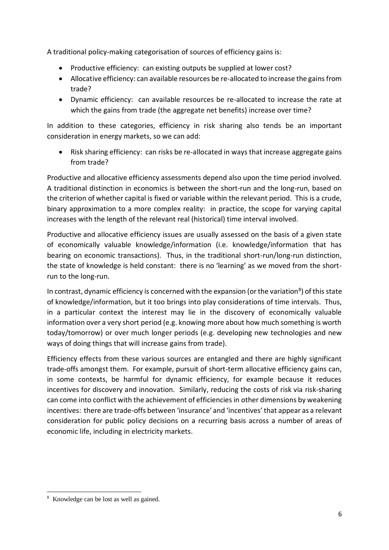A traditional policy-making categorisation of sources of efficiency gains is:

- Productive efficiency: can existing outputs be supplied at lower cost?
- Allocative efficiency: can available resources be re-allocated to increase the gains from trade?
- Dynamic efficiency: can available resources be re-allocated to increase the rate at which the gains from trade (the aggregate net benefits) increase over time?

In addition to these categories, efficiency in risk sharing also tends be an important consideration in energy markets, so we can add:

• Risk sharing efficiency: can risks be re-allocated in ways that increase aggregate gains from trade?

Productive and allocative efficiency assessments depend also upon the time period involved. A traditional distinction in economics is between the short-run and the long-run, based on the criterion of whether capital is fixed or variable within the relevant period. This is a crude, binary approximation to a more complex reality: in practice, the scope for varying capital increases with the length of the relevant real (historical) time interval involved.

Productive and allocative efficiency issues are usually assessed on the basis of a given state of economically valuable knowledge/information (i.e. knowledge/information that has bearing on economic transactions). Thus, in the traditional short-run/long-run distinction, the state of knowledge is held constant: there is no 'learning' as we moved from the shortrun to the long-run.

In contrast, dynamic efficiency is concerned with the expansion (or the variation<sup>8</sup>) of this state of knowledge/information, but it too brings into play considerations of time intervals. Thus, in a particular context the interest may lie in the discovery of economically valuable information over a very short period (e.g. knowing more about how much something is worth today/tomorrow) or over much longer periods (e.g. developing new technologies and new ways of doing things that will increase gains from trade).

Efficiency effects from these various sources are entangled and there are highly significant trade-offs amongst them. For example, pursuit of short-term allocative efficiency gains can, in some contexts, be harmful for dynamic efficiency, for example because it reduces incentives for discovery and innovation. Similarly, reducing the costs of risk via risk-sharing can come into conflict with the achievement of efficiencies in other dimensions by weakening incentives: there are trade-offs between 'insurance' and 'incentives' that appear as a relevant consideration for public policy decisions on a recurring basis across a number of areas of economic life, including in electricity markets.

**<sup>.</sup>** 8 Knowledge can be lost as well as gained.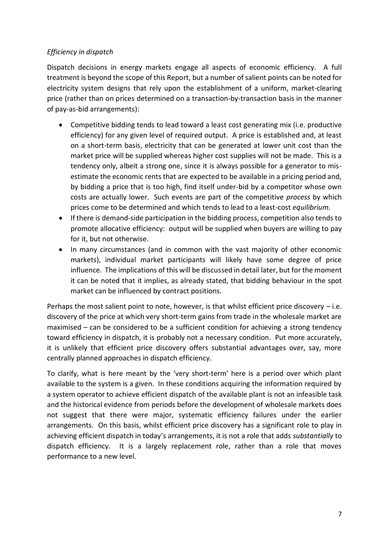### *Efficiency in dispatch*

Dispatch decisions in energy markets engage all aspects of economic efficiency. A full treatment is beyond the scope of this Report, but a number of salient points can be noted for electricity system designs that rely upon the establishment of a uniform, market-clearing price (rather than on prices determined on a transaction-by-transaction basis in the manner of pay-as-bid arrangements):

- Competitive bidding tends to lead toward a least cost generating mix (i.e. productive efficiency) for any given level of required output. A price is established and, at least on a short-term basis, electricity that can be generated at lower unit cost than the market price will be supplied whereas higher cost supplies will not be made. This is a tendency only, albeit a strong one, since it is always possible for a generator to misestimate the economic rents that are expected to be available in a pricing period and, by bidding a price that is too high, find itself under-bid by a competitor whose own costs are actually lower. Such events are part of the competitive *process* by which prices come to be determined and which tends to lead to a least-cost *equilibrium.*
- If there is demand-side participation in the bidding process, competition also tends to promote allocative efficiency: output will be supplied when buyers are willing to pay for it, but not otherwise.
- In many circumstances (and in common with the vast majority of other economic markets), individual market participants will likely have some degree of price influence. The implications of this will be discussed in detail later, but for the moment it can be noted that it implies, as already stated, that bidding behaviour in the spot market can be influenced by contract positions.

Perhaps the most salient point to note, however, is that whilst efficient price discovery  $-$  i.e. discovery of the price at which very short-term gains from trade in the wholesale market are maximised – can be considered to be a sufficient condition for achieving a strong tendency toward efficiency in dispatch, it is probably not a necessary condition. Put more accurately, it is unlikely that efficient price discovery offers substantial advantages over, say, more centrally planned approaches in dispatch efficiency.

To clarify, what is here meant by the 'very short-term' here is a period over which plant available to the system is a given. In these conditions acquiring the information required by a system operator to achieve efficient dispatch of the available plant is not an infeasible task and the historical evidence from periods before the development of wholesale markets does not suggest that there were major, systematic efficiency failures under the earlier arrangements. On this basis, whilst efficient price discovery has a significant role to play in achieving efficient dispatch in today's arrangements, it is not a role that adds *substantially* to dispatch efficiency. It is a largely replacement role, rather than a role that moves performance to a new level.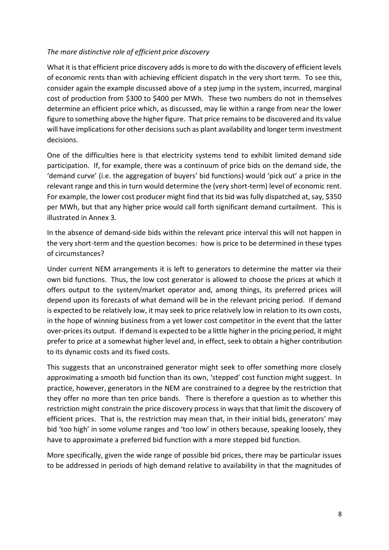#### *The more distinctive role of efficient price discovery*

What it is that efficient price discovery adds is more to do with the discovery of efficient levels of economic rents than with achieving efficient dispatch in the very short term. To see this, consider again the example discussed above of a step jump in the system, incurred, marginal cost of production from \$300 to \$400 per MWh. These two numbers do not in themselves determine an efficient price which, as discussed, may lie within a range from near the lower figure to something above the higher figure. That price remains to be discovered and its value will have implications for other decisions such as plant availability and longer term investment decisions.

One of the difficulties here is that electricity systems tend to exhibit limited demand side participation. If, for example, there was a continuum of price bids on the demand side, the 'demand curve' (i.e. the aggregation of buyers' bid functions) would 'pick out' a price in the relevant range and this in turn would determine the (very short-term) level of economic rent. For example, the lower cost producer might find that its bid was fully dispatched at, say, \$350 per MWh, but that any higher price would call forth significant demand curtailment. This is illustrated in Annex 3.

In the absence of demand-side bids within the relevant price interval this will not happen in the very short-term and the question becomes: how is price to be determined in these types of circumstances?

Under current NEM arrangements it is left to generators to determine the matter via their own bid functions. Thus, the low cost generator is allowed to choose the prices at which it offers output to the system/market operator and, among things, its preferred prices will depend upon its forecasts of what demand will be in the relevant pricing period. If demand is expected to be relatively low, it may seek to price relatively low in relation to its own costs, in the hope of winning business from a yet lower cost competitor in the event that the latter over-prices its output. If demand is expected to be a little higher in the pricing period, it might prefer to price at a somewhat higher level and, in effect, seek to obtain a higher contribution to its dynamic costs and its fixed costs.

This suggests that an unconstrained generator might seek to offer something more closely approximating a smooth bid function than its own, 'stepped' cost function might suggest. In practice, however, generators in the NEM are constrained to a degree by the restriction that they offer no more than ten price bands. There is therefore a question as to whether this restriction might constrain the price discovery process in ways that that limit the discovery of efficient prices. That is, the restriction may mean that, in their initial bids, generators' may bid 'too high' in some volume ranges and 'too low' in others because, speaking loosely, they have to approximate a preferred bid function with a more stepped bid function.

More specifically, given the wide range of possible bid prices, there may be particular issues to be addressed in periods of high demand relative to availability in that the magnitudes of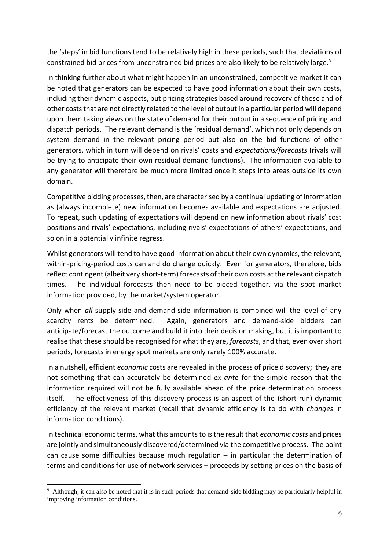the 'steps' in bid functions tend to be relatively high in these periods, such that deviations of constrained bid prices from unconstrained bid prices are also likely to be relatively large.<sup>9</sup>

In thinking further about what might happen in an unconstrained, competitive market it can be noted that generators can be expected to have good information about their own costs, including their dynamic aspects, but pricing strategies based around recovery of those and of other costs that are not directly related to the level of output in a particular period will depend upon them taking views on the state of demand for their output in a sequence of pricing and dispatch periods. The relevant demand is the 'residual demand', which not only depends on system demand in the relevant pricing period but also on the bid functions of other generators, which in turn will depend on rivals' costs and *expectations/forecasts* (rivals will be trying to anticipate their own residual demand functions). The information available to any generator will therefore be much more limited once it steps into areas outside its own domain.

Competitive bidding processes, then, are characterised by a continual updating of information as (always incomplete) new information becomes available and expectations are adjusted. To repeat, such updating of expectations will depend on new information about rivals' cost positions and rivals' expectations, including rivals' expectations of others' expectations, and so on in a potentially infinite regress.

Whilst generators will tend to have good information about their own dynamics, the relevant, within-pricing-period costs can and do change quickly. Even for generators, therefore, bids reflect contingent (albeit very short-term) forecasts of their own costs at the relevant dispatch times. The individual forecasts then need to be pieced together, via the spot market information provided, by the market/system operator.

Only when *all* supply-side and demand-side information is combined will the level of any scarcity rents be determined. Again, generators and demand-side bidders can anticipate/forecast the outcome and build it into their decision making, but it is important to realise that these should be recognised for what they are, *forecasts*, and that, even over short periods, forecasts in energy spot markets are only rarely 100% accurate.

In a nutshell, efficient *economic* costs are revealed in the process of price discovery; they are not something that can accurately be determined *ex ante* for the simple reason that the information required will not be fully available ahead of the price determination process itself. The effectiveness of this discovery process is an aspect of the (short-run) dynamic efficiency of the relevant market (recall that dynamic efficiency is to do with *changes* in information conditions).

In technical economic terms, what this amounts to is the result that *economic costs* and prices are jointly and simultaneously discovered/determined via the competitive process. The point can cause some difficulties because much regulation – in particular the determination of terms and conditions for use of network services – proceeds by setting prices on the basis of

<sup>1</sup> 9 Although, it can also be noted that it is in such periods that demand-side bidding may be particularly helpful in improving information conditions.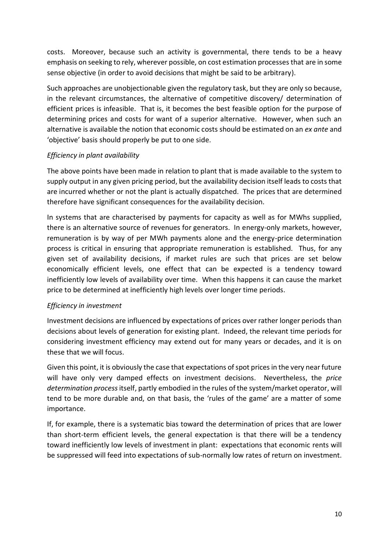costs. Moreover, because such an activity is governmental, there tends to be a heavy emphasis on seeking to rely, wherever possible, on cost estimation processes that are in some sense objective (in order to avoid decisions that might be said to be arbitrary).

Such approaches are unobjectionable given the regulatory task, but they are only so because, in the relevant circumstances, the alternative of competitive discovery/ determination of efficient prices is infeasible. That is, it becomes the best feasible option for the purpose of determining prices and costs for want of a superior alternative. However, when such an alternative is available the notion that economic costs should be estimated on an *ex ante* and 'objective' basis should properly be put to one side.

### *Efficiency in plant availability*

The above points have been made in relation to plant that is made available to the system to supply output in any given pricing period, but the availability decision itself leads to costs that are incurred whether or not the plant is actually dispatched. The prices that are determined therefore have significant consequences for the availability decision.

In systems that are characterised by payments for capacity as well as for MWhs supplied, there is an alternative source of revenues for generators. In energy-only markets, however, remuneration is by way of per MWh payments alone and the energy-price determination process is critical in ensuring that appropriate remuneration is established. Thus, for any given set of availability decisions, if market rules are such that prices are set below economically efficient levels, one effect that can be expected is a tendency toward inefficiently low levels of availability over time. When this happens it can cause the market price to be determined at inefficiently high levels over longer time periods.

## *Efficiency in investment*

Investment decisions are influenced by expectations of prices over rather longer periods than decisions about levels of generation for existing plant. Indeed, the relevant time periods for considering investment efficiency may extend out for many years or decades, and it is on these that we will focus.

Given this point, it is obviously the case that expectations of spot prices in the very near future will have only very damped effects on investment decisions. Nevertheless, the *price determination process* itself, partly embodied in the rules of the system/market operator, will tend to be more durable and, on that basis, the 'rules of the game' are a matter of some importance.

If, for example, there is a systematic bias toward the determination of prices that are lower than short-term efficient levels, the general expectation is that there will be a tendency toward inefficiently low levels of investment in plant: expectations that economic rents will be suppressed will feed into expectations of sub-normally low rates of return on investment.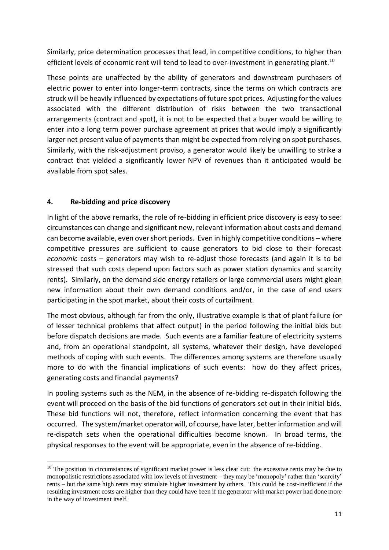Similarly, price determination processes that lead, in competitive conditions, to higher than efficient levels of economic rent will tend to lead to over-investment in generating plant.<sup>10</sup>

These points are unaffected by the ability of generators and downstream purchasers of electric power to enter into longer-term contracts, since the terms on which contracts are struck will be heavily influenced by expectations of future spot prices. Adjusting for the values associated with the different distribution of risks between the two transactional arrangements (contract and spot), it is not to be expected that a buyer would be willing to enter into a long term power purchase agreement at prices that would imply a significantly larger net present value of payments than might be expected from relying on spot purchases. Similarly, with the risk-adjustment proviso, a generator would likely be unwilling to strike a contract that yielded a significantly lower NPV of revenues than it anticipated would be available from spot sales.

### **4. Re-bidding and price discovery**

In light of the above remarks, the role of re-bidding in efficient price discovery is easy to see: circumstances can change and significant new, relevant information about costs and demand can become available, even over short periods. Even in highly competitive conditions – where competitive pressures are sufficient to cause generators to bid close to their forecast *economic* costs – generators may wish to re-adjust those forecasts (and again it is to be stressed that such costs depend upon factors such as power station dynamics and scarcity rents). Similarly, on the demand side energy retailers or large commercial users might glean new information about their own demand conditions and/or, in the case of end users participating in the spot market, about their costs of curtailment.

The most obvious, although far from the only, illustrative example is that of plant failure (or of lesser technical problems that affect output) in the period following the initial bids but before dispatch decisions are made. Such events are a familiar feature of electricity systems and, from an operational standpoint, all systems, whatever their design, have developed methods of coping with such events. The differences among systems are therefore usually more to do with the financial implications of such events: how do they affect prices, generating costs and financial payments?

In pooling systems such as the NEM, in the absence of re-bidding re-dispatch following the event will proceed on the basis of the bid functions of generators set out in their initial bids. These bid functions will not, therefore, reflect information concerning the event that has occurred. The system/market operator will, of course, have later, better information and will re-dispatch sets when the operational difficulties become known. In broad terms, the physical responses to the event will be appropriate, even in the absence of re-bidding.

**<sup>.</sup>** <sup>10</sup> The position in circumstances of significant market power is less clear cut: the excessive rents may be due to monopolistic restrictions associated with low levels of investment – they may be 'monopoly' rather than 'scarcity' rents – but the same high rents may stimulate higher investment by others. This could be cost-inefficient if the resulting investment costs are higher than they could have been if the generator with market power had done more in the way of investment itself.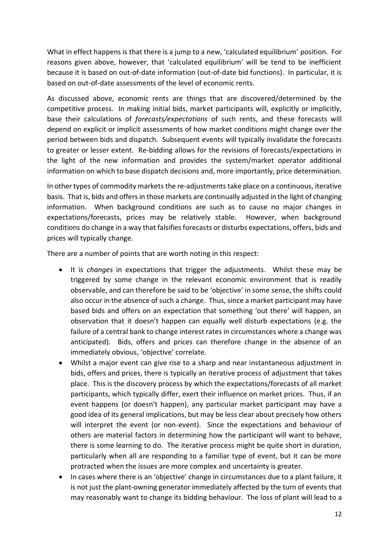What in effect happens is that there is a jump to a new, 'calculated equilibrium' position. For reasons given above, however, that 'calculated equilibrium' will be tend to be inefficient because it is based on out-of-date information (out-of-date bid functions). In particular, it is based on out-of-date assessments of the level of economic rents.

As discussed above, economic rents are things that are discovered/determined by the competitive process. In making initial bids, market participants will, explicitly or implicitly, base their calculations of *forecasts/expectations* of such rents, and these forecasts will depend on explicit or implicit assessments of how market conditions might change over the period between bids and dispatch. Subsequent events will typically invalidate the forecasts to greater or lesser extent. Re-bidding allows for the revisions of forecasts/expectations in the light of the new information and provides the system/market operator additional information on which to base dispatch decisions and, more importantly, price determination.

In other types of commodity markets the re-adjustments take place on a continuous, iterative basis. That is, bids and offers in those markets are continually adjusted in the light of changing information. When background conditions are such as to cause no major changes in expectations/forecasts, prices may be relatively stable. However, when background conditions do change in a way that falsifies forecasts or disturbs expectations, offers, bids and prices will typically change.

There are a number of points that are worth noting in this respect:

- It is *changes* in expectations that trigger the adjustments. Whilst these may be triggered by some change in the relevant economic environment that is readily observable, and can therefore be said to be 'objective' in some sense, the shifts could also occur in the absence of such a change. Thus, since a market participant may have based bids and offers on an expectation that something 'out there' will happen, an observation that it doesn't happen can equally well disturb expectations (e.g. the failure of a central bank to change interest rates in circumstances where a change was anticipated). Bids, offers and prices can therefore change in the absence of an immediately obvious, 'objective' correlate.
- Whilst a major event can give rise to a sharp and near instantaneous adjustment in bids, offers and prices, there is typically an iterative process of adjustment that takes place. This is the discovery process by which the expectations/forecasts of all market participants, which typically differ, exert their influence on market prices. Thus, if an event happens (or doesn't happen), any particular market participant may have a good idea of its general implications, but may be less clear about precisely how others will interpret the event (or non-event). Since the expectations and behaviour of others are material factors in determining how the participant will want to behave, there is some learning to do. The iterative process might be quite short in duration, particularly when all are responding to a familiar type of event, but it can be more protracted when the issues are more complex and uncertainty is greater.
- In cases where there is an 'objective' change in circumstances due to a plant failure, it is not just the plant-owning generator immediately affected by the turn of events that may reasonably want to change its bidding behaviour. The loss of plant will lead to a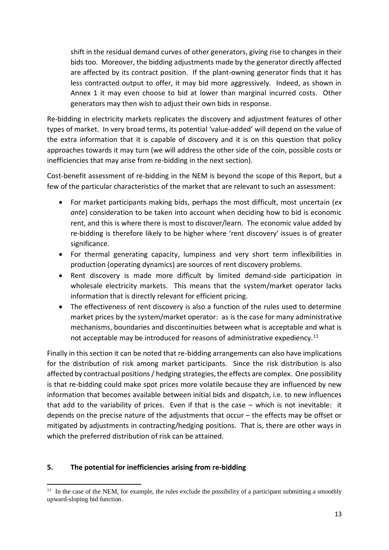shift in the residual demand curves of other generators, giving rise to changes in their bids too. Moreover, the bidding adjustments made by the generator directly affected are affected by its contract position. If the plant-owning generator finds that it has less contracted output to offer, it may bid more aggressively. Indeed, as shown in Annex 1 it may even choose to bid at lower than marginal incurred costs. Other generators may then wish to adjust their own bids in response.

Re-bidding in electricity markets replicates the discovery and adjustment features of other types of market. In very broad terms, its potential 'value-added' will depend on the value of the extra information that it is capable of discovery and it is on this question that policy approaches towards it may turn (we will address the other side of the coin, possible costs or inefficiencies that may arise from re-bidding in the next section).

Cost-benefit assessment of re-bidding in the NEM is beyond the scope of this Report, but a few of the particular characteristics of the market that are relevant to such an assessment:

- For market participants making bids, perhaps the most difficult, most uncertain (*ex ante*) consideration to be taken into account when deciding how to bid is economic rent, and this is where there is most to discover/learn. The economic value added by re-bidding is therefore likely to be higher where 'rent discovery' issues is of greater significance.
- For thermal generating capacity, lumpiness and very short term inflexibilities in production (operating dynamics) are sources of rent discovery problems.
- Rent discovery is made more difficult by limited demand-side participation in wholesale electricity markets. This means that the system/market operator lacks information that is directly relevant for efficient pricing.
- The effectiveness of rent discovery is also a function of the rules used to determine market prices by the system/market operator: as is the case for many administrative mechanisms, boundaries and discontinuities between what is acceptable and what is not acceptable may be introduced for reasons of administrative expediency.<sup>11</sup>

Finally in this section it can be noted that re-bidding arrangements can also have implications for the distribution of risk among market participants. Since the risk distribution is also affected by contractual positions / hedging strategies, the effects are complex. One possibility is that re-bidding could make spot prices more volatile because they are influenced by new information that becomes available between initial bids and dispatch, i.e. to new influences that add to the variability of prices. Even if that is the case – which is not inevitable: it depends on the precise nature of the adjustments that occur – the effects may be offset or mitigated by adjustments in contracting/hedging positions. That is, there are other ways in which the preferred distribution of risk can be attained.

#### **5. The potential for inefficiencies arising from re-bidding**

<sup>1</sup>  $11$  In the case of the NEM, for example, the rules exclude the possibility of a participant submitting a smoothly upward-sloping bid function.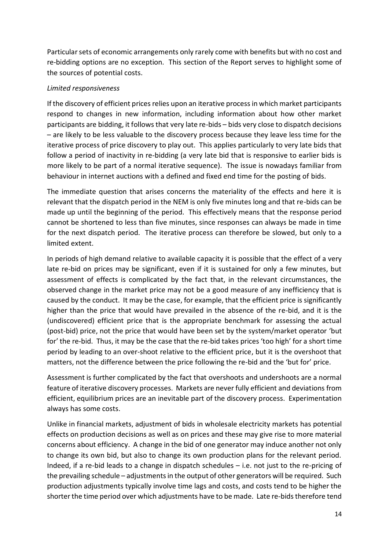Particular sets of economic arrangements only rarely come with benefits but with no cost and re-bidding options are no exception. This section of the Report serves to highlight some of the sources of potential costs.

#### *Limited responsiveness*

If the discovery of efficient prices relies upon an iterative process in which market participants respond to changes in new information, including information about how other market participants are bidding, it follows that very late re-bids – bids very close to dispatch decisions – are likely to be less valuable to the discovery process because they leave less time for the iterative process of price discovery to play out. This applies particularly to very late bids that follow a period of inactivity in re-bidding (a very late bid that is responsive to earlier bids is more likely to be part of a normal iterative sequence). The issue is nowadays familiar from behaviour in internet auctions with a defined and fixed end time for the posting of bids.

The immediate question that arises concerns the materiality of the effects and here it is relevant that the dispatch period in the NEM is only five minutes long and that re-bids can be made up until the beginning of the period. This effectively means that the response period cannot be shortened to less than five minutes, since responses can always be made in time for the next dispatch period. The iterative process can therefore be slowed, but only to a limited extent.

In periods of high demand relative to available capacity it is possible that the effect of a very late re-bid on prices may be significant, even if it is sustained for only a few minutes, but assessment of effects is complicated by the fact that, in the relevant circumstances, the observed change in the market price may not be a good measure of any inefficiency that is caused by the conduct. It may be the case, for example, that the efficient price is significantly higher than the price that would have prevailed in the absence of the re-bid, and it is the (undiscovered) efficient price that is the appropriate benchmark for assessing the actual (post-bid) price, not the price that would have been set by the system/market operator 'but for' the re-bid. Thus, it may be the case that the re-bid takes prices 'too high' for a short time period by leading to an over-shoot relative to the efficient price, but it is the overshoot that matters, not the difference between the price following the re-bid and the 'but for' price.

Assessment is further complicated by the fact that overshoots and undershoots are a normal feature of iterative discovery processes. Markets are never fully efficient and deviations from efficient, equilibrium prices are an inevitable part of the discovery process. Experimentation always has some costs.

Unlike in financial markets, adjustment of bids in wholesale electricity markets has potential effects on production decisions as well as on prices and these may give rise to more material concerns about efficiency. A change in the bid of one generator may induce another not only to change its own bid, but also to change its own production plans for the relevant period. Indeed, if a re-bid leads to a change in dispatch schedules – i.e. not just to the re-pricing of the prevailing schedule – adjustments in the output of other generators will be required. Such production adjustments typically involve time lags and costs, and costs tend to be higher the shorter the time period over which adjustments have to be made. Late re-bids therefore tend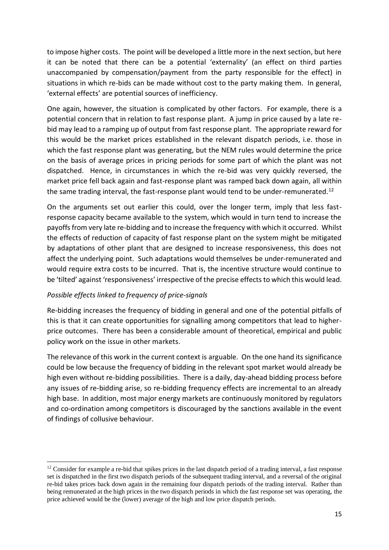to impose higher costs. The point will be developed a little more in the next section, but here it can be noted that there can be a potential 'externality' (an effect on third parties unaccompanied by compensation/payment from the party responsible for the effect) in situations in which re-bids can be made without cost to the party making them. In general, 'external effects' are potential sources of inefficiency.

One again, however, the situation is complicated by other factors. For example, there is a potential concern that in relation to fast response plant. A jump in price caused by a late rebid may lead to a ramping up of output from fast response plant. The appropriate reward for this would be the market prices established in the relevant dispatch periods, i.e. those in which the fast response plant was generating, but the NEM rules would determine the price on the basis of average prices in pricing periods for some part of which the plant was not dispatched. Hence, in circumstances in which the re-bid was very quickly reversed, the market price fell back again and fast-response plant was ramped back down again, all within the same trading interval, the fast-response plant would tend to be under-remunerated.<sup>12</sup>

On the arguments set out earlier this could, over the longer term, imply that less fastresponse capacity became available to the system, which would in turn tend to increase the payoffs from very late re-bidding and to increase the frequency with which it occurred. Whilst the effects of reduction of capacity of fast response plant on the system might be mitigated by adaptations of other plant that are designed to increase responsiveness, this does not affect the underlying point. Such adaptations would themselves be under-remunerated and would require extra costs to be incurred. That is, the incentive structure would continue to be 'tilted' against 'responsiveness' irrespective of the precise effects to which this would lead.

#### *Possible effects linked to frequency of price-signals*

Re-bidding increases the frequency of bidding in general and one of the potential pitfalls of this is that it can create opportunities for signalling among competitors that lead to higherprice outcomes. There has been a considerable amount of theoretical, empirical and public policy work on the issue in other markets.

The relevance of this work in the current context is arguable. On the one hand its significance could be low because the frequency of bidding in the relevant spot market would already be high even without re-bidding possibilities. There is a daily, day-ahead bidding process before any issues of re-bidding arise, so re-bidding frequency effects are incremental to an already high base. In addition, most major energy markets are continuously monitored by regulators and co-ordination among competitors is discouraged by the sanctions available in the event of findings of collusive behaviour.

**<sup>.</sup>** <sup>12</sup> Consider for example a re-bid that spikes prices in the last dispatch period of a trading interval, a fast response set is dispatched in the first two dispatch periods of the subsequent trading interval, and a reversal of the original re-bid takes prices back down again in the remaining four dispatch periods of the trading interval. Rather than being remunerated at the high prices in the two dispatch periods in which the fast response set was operating, the price achieved would be the (lower) average of the high and low price dispatch periods.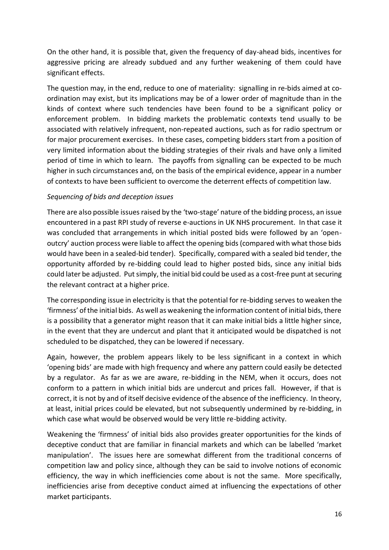On the other hand, it is possible that, given the frequency of day-ahead bids, incentives for aggressive pricing are already subdued and any further weakening of them could have significant effects.

The question may, in the end, reduce to one of materiality: signalling in re-bids aimed at coordination may exist, but its implications may be of a lower order of magnitude than in the kinds of context where such tendencies have been found to be a significant policy or enforcement problem. In bidding markets the problematic contexts tend usually to be associated with relatively infrequent, non-repeated auctions, such as for radio spectrum or for major procurement exercises. In these cases, competing bidders start from a position of very limited information about the bidding strategies of their rivals and have only a limited period of time in which to learn. The payoffs from signalling can be expected to be much higher in such circumstances and, on the basis of the empirical evidence, appear in a number of contexts to have been sufficient to overcome the deterrent effects of competition law.

### *Sequencing of bids and deception issues*

There are also possible issues raised by the 'two-stage' nature of the bidding process, an issue encountered in a past RPI study of reverse e-auctions in UK NHS procurement. In that case it was concluded that arrangements in which initial posted bids were followed by an 'openoutcry' auction process were liable to affect the opening bids (compared with what those bids would have been in a sealed-bid tender). Specifically, compared with a sealed bid tender, the opportunity afforded by re-bidding could lead to higher posted bids, since any initial bids could later be adjusted. Put simply, the initial bid could be used as a cost-free punt at securing the relevant contract at a higher price.

The corresponding issue in electricity is that the potential for re-bidding serves to weaken the 'firmness' of the initial bids. As well as weakening the information content of initial bids, there is a possibility that a generator might reason that it can make initial bids a little higher since, in the event that they are undercut and plant that it anticipated would be dispatched is not scheduled to be dispatched, they can be lowered if necessary.

Again, however, the problem appears likely to be less significant in a context in which 'opening bids' are made with high frequency and where any pattern could easily be detected by a regulator. As far as we are aware, re-bidding in the NEM, when it occurs, does not conform to a pattern in which initial bids are undercut and prices fall. However, if that is correct, it is not by and of itself decisive evidence of the absence of the inefficiency. In theory, at least, initial prices could be elevated, but not subsequently undermined by re-bidding, in which case what would be observed would be very little re-bidding activity.

Weakening the 'firmness' of initial bids also provides greater opportunities for the kinds of deceptive conduct that are familiar in financial markets and which can be labelled 'market manipulation'. The issues here are somewhat different from the traditional concerns of competition law and policy since, although they can be said to involve notions of economic efficiency, the way in which inefficiencies come about is not the same. More specifically, inefficiencies arise from deceptive conduct aimed at influencing the expectations of other market participants.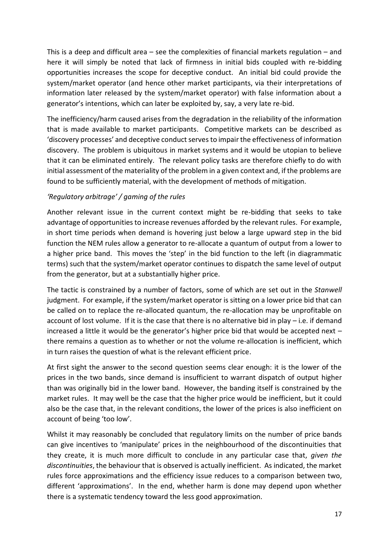This is a deep and difficult area – see the complexities of financial markets regulation – and here it will simply be noted that lack of firmness in initial bids coupled with re-bidding opportunities increases the scope for deceptive conduct. An initial bid could provide the system/market operator (and hence other market participants, via their interpretations of information later released by the system/market operator) with false information about a generator's intentions, which can later be exploited by, say, a very late re-bid.

The inefficiency/harm caused arises from the degradation in the reliability of the information that is made available to market participants. Competitive markets can be described as 'discovery processes' and deceptive conduct serves to impair the effectiveness of information discovery. The problem is ubiquitous in market systems and it would be utopian to believe that it can be eliminated entirely. The relevant policy tasks are therefore chiefly to do with initial assessment of the materiality of the problem in a given context and, if the problems are found to be sufficiently material, with the development of methods of mitigation.

### *'Regulatory arbitrage' / gaming of the rules*

Another relevant issue in the current context might be re-bidding that seeks to take advantage of opportunities to increase revenues afforded by the relevant rules. For example, in short time periods when demand is hovering just below a large upward step in the bid function the NEM rules allow a generator to re-allocate a quantum of output from a lower to a higher price band. This moves the 'step' in the bid function to the left (in diagrammatic terms) such that the system/market operator continues to dispatch the same level of output from the generator, but at a substantially higher price.

The tactic is constrained by a number of factors, some of which are set out in the *Stanwell*  judgment. For example, if the system/market operator is sitting on a lower price bid that can be called on to replace the re-allocated quantum, the re-allocation may be unprofitable on account of lost volume. If it is the case that there is no alternative bid in play  $-$  i.e. if demand increased a little it would be the generator's higher price bid that would be accepted next – there remains a question as to whether or not the volume re-allocation is inefficient, which in turn raises the question of what is the relevant efficient price.

At first sight the answer to the second question seems clear enough: it is the lower of the prices in the two bands, since demand is insufficient to warrant dispatch of output higher than was originally bid in the lower band. However, the banding itself is constrained by the market rules. It may well be the case that the higher price would be inefficient, but it could also be the case that, in the relevant conditions, the lower of the prices is also inefficient on account of being 'too low'.

Whilst it may reasonably be concluded that regulatory limits on the number of price bands can give incentives to 'manipulate' prices in the neighbourhood of the discontinuities that they create, it is much more difficult to conclude in any particular case that, *given the discontinuities*, the behaviour that is observed is actually inefficient. As indicated, the market rules force approximations and the efficiency issue reduces to a comparison between two, different 'approximations'. In the end, whether harm is done may depend upon whether there is a systematic tendency toward the less good approximation.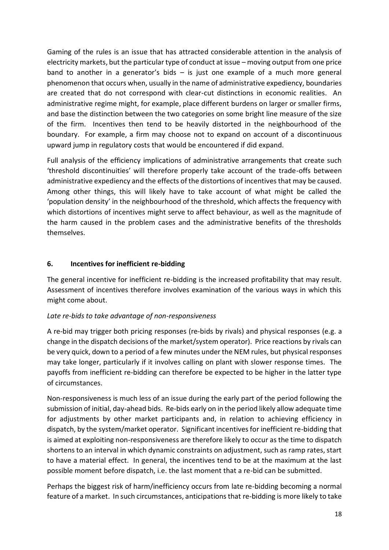Gaming of the rules is an issue that has attracted considerable attention in the analysis of electricity markets, but the particular type of conduct at issue – moving output from one price band to another in a generator's bids  $-$  is just one example of a much more general phenomenon that occurs when, usually in the name of administrative expediency, boundaries are created that do not correspond with clear-cut distinctions in economic realities. An administrative regime might, for example, place different burdens on larger or smaller firms, and base the distinction between the two categories on some bright line measure of the size of the firm. Incentives then tend to be heavily distorted in the neighbourhood of the boundary. For example, a firm may choose not to expand on account of a discontinuous upward jump in regulatory costs that would be encountered if did expand.

Full analysis of the efficiency implications of administrative arrangements that create such 'threshold discontinuities' will therefore properly take account of the trade-offs between administrative expediency and the effects of the distortions of incentives that may be caused. Among other things, this will likely have to take account of what might be called the 'population density' in the neighbourhood of the threshold, which affects the frequency with which distortions of incentives might serve to affect behaviour, as well as the magnitude of the harm caused in the problem cases and the administrative benefits of the thresholds themselves.

## **6. Incentives for inefficient re-bidding**

The general incentive for inefficient re-bidding is the increased profitability that may result. Assessment of incentives therefore involves examination of the various ways in which this might come about.

## *Late re-bids to take advantage of non-responsiveness*

A re-bid may trigger both pricing responses (re-bids by rivals) and physical responses (e.g. a change in the dispatch decisions of the market/system operator). Price reactions by rivals can be very quick, down to a period of a few minutes under the NEM rules, but physical responses may take longer, particularly if it involves calling on plant with slower response times. The payoffs from inefficient re-bidding can therefore be expected to be higher in the latter type of circumstances.

Non-responsiveness is much less of an issue during the early part of the period following the submission of initial, day-ahead bids. Re-bids early on in the period likely allow adequate time for adjustments by other market participants and, in relation to achieving efficiency in dispatch, by the system/market operator. Significant incentives for inefficient re-bidding that is aimed at exploiting non-responsiveness are therefore likely to occur as the time to dispatch shortens to an interval in which dynamic constraints on adjustment, such as ramp rates, start to have a material effect. In general, the incentives tend to be at the maximum at the last possible moment before dispatch, i.e. the last moment that a re-bid can be submitted.

Perhaps the biggest risk of harm/inefficiency occurs from late re-bidding becoming a normal feature of a market. In such circumstances, anticipations that re-bidding is more likely to take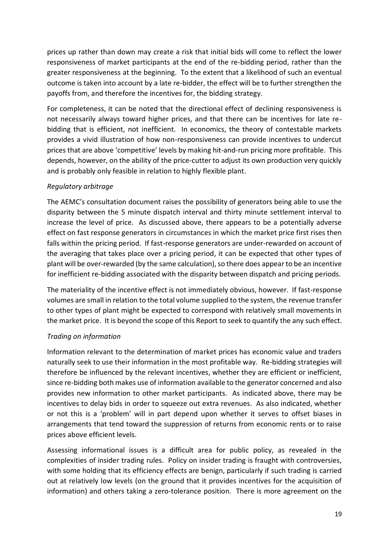prices up rather than down may create a risk that initial bids will come to reflect the lower responsiveness of market participants at the end of the re-bidding period, rather than the greater responsiveness at the beginning. To the extent that a likelihood of such an eventual outcome is taken into account by a late re-bidder, the effect will be to further strengthen the payoffs from, and therefore the incentives for, the bidding strategy.

For completeness, it can be noted that the directional effect of declining responsiveness is not necessarily always toward higher prices, and that there can be incentives for late rebidding that is efficient, not inefficient. In economics, the theory of contestable markets provides a vivid illustration of how non-responsiveness can provide incentives to undercut prices that are above 'competitive' levels by making hit-and-run pricing more profitable. This depends, however, on the ability of the price-cutter to adjust its own production very quickly and is probably only feasible in relation to highly flexible plant.

### *Regulatory arbitrage*

The AEMC's consultation document raises the possibility of generators being able to use the disparity between the 5 minute dispatch interval and thirty minute settlement interval to increase the level of price. As discussed above, there appears to be a potentially adverse effect on fast response generators in circumstances in which the market price first rises then falls within the pricing period. If fast-response generators are under-rewarded on account of the averaging that takes place over a pricing period, it can be expected that other types of plant will be over-rewarded (by the same calculation), so there does appear to be an incentive for inefficient re-bidding associated with the disparity between dispatch and pricing periods.

The materiality of the incentive effect is not immediately obvious, however. If fast-response volumes are small in relation to the total volume supplied to the system, the revenue transfer to other types of plant might be expected to correspond with relatively small movements in the market price. It is beyond the scope of this Report to seek to quantify the any such effect.

## *Trading on information*

Information relevant to the determination of market prices has economic value and traders naturally seek to use their information in the most profitable way. Re-bidding strategies will therefore be influenced by the relevant incentives, whether they are efficient or inefficient, since re-bidding both makes use of information available to the generator concerned and also provides new information to other market participants. As indicated above, there may be incentives to delay bids in order to squeeze out extra revenues. As also indicated, whether or not this is a 'problem' will in part depend upon whether it serves to offset biases in arrangements that tend toward the suppression of returns from economic rents or to raise prices above efficient levels.

Assessing informational issues is a difficult area for public policy, as revealed in the complexities of insider trading rules. Policy on insider trading is fraught with controversies, with some holding that its efficiency effects are benign, particularly if such trading is carried out at relatively low levels (on the ground that it provides incentives for the acquisition of information) and others taking a zero-tolerance position. There is more agreement on the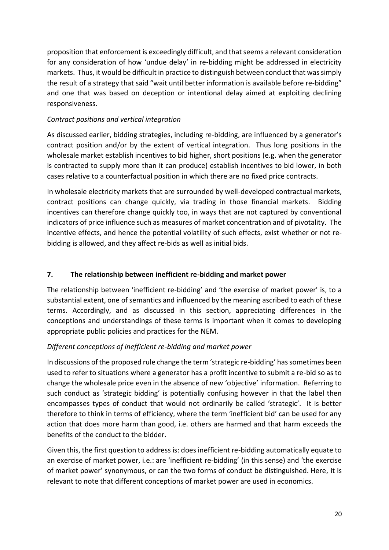proposition that enforcement is exceedingly difficult, and that seems a relevant consideration for any consideration of how 'undue delay' in re-bidding might be addressed in electricity markets. Thus, it would be difficult in practice to distinguish between conduct that was simply the result of a strategy that said "wait until better information is available before re-bidding" and one that was based on deception or intentional delay aimed at exploiting declining responsiveness.

### *Contract positions and vertical integration*

As discussed earlier, bidding strategies, including re-bidding, are influenced by a generator's contract position and/or by the extent of vertical integration. Thus long positions in the wholesale market establish incentives to bid higher, short positions (e.g. when the generator is contracted to supply more than it can produce) establish incentives to bid lower, in both cases relative to a counterfactual position in which there are no fixed price contracts.

In wholesale electricity markets that are surrounded by well-developed contractual markets, contract positions can change quickly, via trading in those financial markets. Bidding incentives can therefore change quickly too, in ways that are not captured by conventional indicators of price influence such as measures of market concentration and of pivotality. The incentive effects, and hence the potential volatility of such effects, exist whether or not rebidding is allowed, and they affect re-bids as well as initial bids.

### **7. The relationship between inefficient re-bidding and market power**

The relationship between 'inefficient re-bidding' and 'the exercise of market power' is, to a substantial extent, one of semantics and influenced by the meaning ascribed to each of these terms. Accordingly, and as discussed in this section, appreciating differences in the conceptions and understandings of these terms is important when it comes to developing appropriate public policies and practices for the NEM.

## *Different conceptions of inefficient re-bidding and market power*

In discussions of the proposed rule change the term 'strategic re-bidding' has sometimes been used to refer to situations where a generator has a profit incentive to submit a re-bid so as to change the wholesale price even in the absence of new 'objective' information. Referring to such conduct as 'strategic bidding' is potentially confusing however in that the label then encompasses types of conduct that would not ordinarily be called 'strategic'. It is better therefore to think in terms of efficiency, where the term 'inefficient bid' can be used for any action that does more harm than good, i.e. others are harmed and that harm exceeds the benefits of the conduct to the bidder.

Given this, the first question to address is: does inefficient re-bidding automatically equate to an exercise of market power, i.e.: are 'inefficient re-bidding' (in this sense) and 'the exercise of market power' synonymous, or can the two forms of conduct be distinguished. Here, it is relevant to note that different conceptions of market power are used in economics.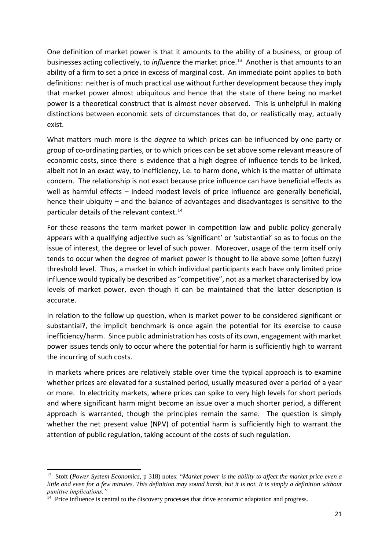One definition of market power is that it amounts to the ability of a business, or group of businesses acting collectively, to *influence* the market price.<sup>13</sup> Another is that amounts to an ability of a firm to set a price in excess of marginal cost. An immediate point applies to both definitions: neither is of much practical use without further development because they imply that market power almost ubiquitous and hence that the state of there being no market power is a theoretical construct that is almost never observed. This is unhelpful in making distinctions between economic sets of circumstances that do, or realistically may, actually exist.

What matters much more is the *degree* to which prices can be influenced by one party or group of co-ordinating parties, or to which prices can be set above some relevant measure of economic costs, since there is evidence that a high degree of influence tends to be linked, albeit not in an exact way, to inefficiency, i.e. to harm done, which is the matter of ultimate concern. The relationship is not exact because price influence can have beneficial effects as well as harmful effects – indeed modest levels of price influence are generally beneficial, hence their ubiquity – and the balance of advantages and disadvantages is sensitive to the particular details of the relevant context.<sup>14</sup>

For these reasons the term market power in competition law and public policy generally appears with a qualifying adjective such as 'significant' or 'substantial' so as to focus on the issue of interest, the degree or level of such power. Moreover, usage of the term itself only tends to occur when the degree of market power is thought to lie above some (often fuzzy) threshold level. Thus, a market in which individual participants each have only limited price influence would typically be described as "competitive", not as a market characterised by low levels of market power, even though it can be maintained that the latter description is accurate.

In relation to the follow up question, when is market power to be considered significant or substantial?, the implicit benchmark is once again the potential for its exercise to cause inefficiency/harm. Since public administration has costs of its own, engagement with market power issues tends only to occur where the potential for harm is sufficiently high to warrant the incurring of such costs.

In markets where prices are relatively stable over time the typical approach is to examine whether prices are elevated for a sustained period, usually measured over a period of a year or more. In electricity markets, where prices can spike to very high levels for short periods and where significant harm might become an issue over a much shorter period, a different approach is warranted, though the principles remain the same. The question is simply whether the net present value (NPV) of potential harm is sufficiently high to warrant the attention of public regulation, taking account of the costs of such regulation.

-

<sup>13</sup> Stoft (*Power System Economics,* p 318) notes: "*Market power is the ability to affect the market price even a little and even for a few minutes. This definition may sound harsh, but it is not. It is simply a definition without punitive implications."*

<sup>&</sup>lt;sup>14</sup> Price influence is central to the discovery processes that drive economic adaptation and progress.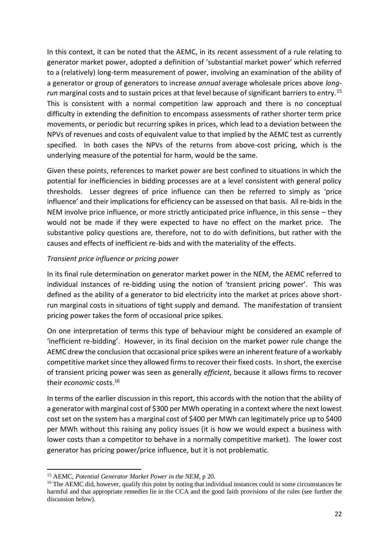In this context, it can be noted that the AEMC, in its recent assessment of a rule relating to generator market power, adopted a definition of 'substantial market power' which referred to a (relatively) long-term measurement of power, involving an examination of the ability of a generator or group of generators to increase *annual* average wholesale prices above *long*run marginal costs and to sustain prices at that level because of significant barriers to entry.<sup>15</sup> This is consistent with a normal competition law approach and there is no conceptual difficulty in extending the definition to encompass assessments of rather shorter term price movements, or periodic but recurring spikes in prices, which lead to a deviation between the NPVs of revenues and costs of equivalent value to that implied by the AEMC test as currently specified. In both cases the NPVs of the returns from above-cost pricing, which is the underlying measure of the potential for harm, would be the same.

Given these points, references to market power are best confined to situations in which the potential for inefficiencies in bidding processes are at a level consistent with general policy thresholds. Lesser degrees of price influence can then be referred to simply as 'price influence' and their implications for efficiency can be assessed on that basis. All re-bids in the NEM involve price influence, or more strictly anticipated price influence, in this sense – they would not be made if they were expected to have no effect on the market price. The substantive policy questions are, therefore, not to do with definitions, but rather with the causes and effects of inefficient re-bids and with the materiality of the effects.

#### *Transient price influence or pricing power*

In its final rule determination on generator market power in the NEM, the AEMC referred to individual instances of re-bidding using the notion of 'transient pricing power'. This was defined as the ability of a generator to bid electricity into the market at prices above shortrun marginal costs in situations of tight supply and demand. The manifestation of transient pricing power takes the form of occasional price spikes.

On one interpretation of terms this type of behaviour might be considered an example of 'inefficient re-bidding'. However, in its final decision on the market power rule change the AEMC drew the conclusion that occasional price spikes were an inherent feature of a workably competitive market since they allowed firms to recover their fixed costs. In short, the exercise of transient pricing power was seen as generally *efficient*, because it allows firms to recover their *economic* costs.<sup>16</sup>

In terms of the earlier discussion in this report, this accords with the notion that the ability of a generator with marginal cost of \$300 per MWh operating in a context where the next lowest cost set on the system has a marginal cost of \$400 per MWh can legitimately price up to \$400 per MWh without this raising any policy issues (it is how we would expect a business with lower costs than a competitor to behave in a normally competitive market). The lower cost generator has pricing power/price influence, but it is not problematic.

<sup>-</sup><sup>15</sup> AEMC, *Potential Generator Market Power in the NEM*, p 20.

<sup>&</sup>lt;sup>16</sup> The AEMC did, however, qualify this point by noting that individual instances could in some circumstances be harmful and that appropriate remedies lie in the CCA and the good faith provisions of the rules (see further the discussion below).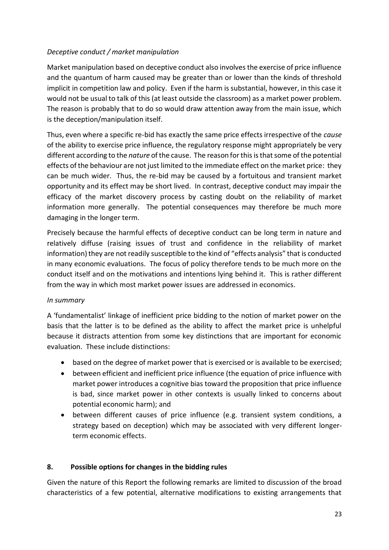### *Deceptive conduct / market manipulation*

Market manipulation based on deceptive conduct also involves the exercise of price influence and the quantum of harm caused may be greater than or lower than the kinds of threshold implicit in competition law and policy. Even if the harm is substantial, however, in this case it would not be usual to talk of this (at least outside the classroom) as a market power problem. The reason is probably that to do so would draw attention away from the main issue, which is the deception/manipulation itself.

Thus, even where a specific re-bid has exactly the same price effects irrespective of the *cause* of the ability to exercise price influence, the regulatory response might appropriately be very different according to the *nature* of the cause. The reason for this is that some of the potential effects of the behaviour are not just limited to the immediate effect on the market price: they can be much wider. Thus, the re-bid may be caused by a fortuitous and transient market opportunity and its effect may be short lived. In contrast, deceptive conduct may impair the efficacy of the market discovery process by casting doubt on the reliability of market information more generally. The potential consequences may therefore be much more damaging in the longer term.

Precisely because the harmful effects of deceptive conduct can be long term in nature and relatively diffuse (raising issues of trust and confidence in the reliability of market information) they are not readily susceptible to the kind of "effects analysis" that is conducted in many economic evaluations. The focus of policy therefore tends to be much more on the conduct itself and on the motivations and intentions lying behind it. This is rather different from the way in which most market power issues are addressed in economics.

#### *In summary*

A 'fundamentalist' linkage of inefficient price bidding to the notion of market power on the basis that the latter is to be defined as the ability to affect the market price is unhelpful because it distracts attention from some key distinctions that are important for economic evaluation. These include distinctions:

- based on the degree of market power that is exercised or is available to be exercised;
- between efficient and inefficient price influence (the equation of price influence with market power introduces a cognitive bias toward the proposition that price influence is bad, since market power in other contexts is usually linked to concerns about potential economic harm); and
- between different causes of price influence (e.g. transient system conditions, a strategy based on deception) which may be associated with very different longerterm economic effects.

#### **8. Possible options for changes in the bidding rules**

Given the nature of this Report the following remarks are limited to discussion of the broad characteristics of a few potential, alternative modifications to existing arrangements that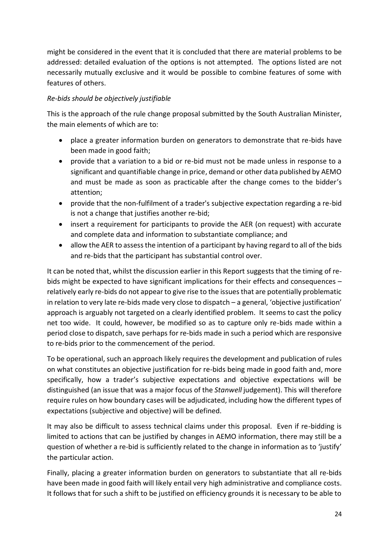might be considered in the event that it is concluded that there are material problems to be addressed: detailed evaluation of the options is not attempted. The options listed are not necessarily mutually exclusive and it would be possible to combine features of some with features of others.

# *Re-bids should be objectively justifiable*

This is the approach of the rule change proposal submitted by the South Australian Minister, the main elements of which are to:

- place a greater information burden on generators to demonstrate that re-bids have been made in good faith;
- provide that a variation to a bid or re-bid must not be made unless in response to a significant and quantifiable change in price, demand or other data published by AEMO and must be made as soon as practicable after the change comes to the bidder's attention;
- provide that the non-fulfilment of a trader's subjective expectation regarding a re-bid is not a change that justifies another re-bid;
- insert a requirement for participants to provide the AER (on request) with accurate and complete data and information to substantiate compliance; and
- allow the AER to assess the intention of a participant by having regard to all of the bids and re-bids that the participant has substantial control over.

It can be noted that, whilst the discussion earlier in this Report suggests that the timing of rebids might be expected to have significant implications for their effects and consequences – relatively early re-bids do not appear to give rise to the issues that are potentially problematic in relation to very late re-bids made very close to dispatch – a general, 'objective justification' approach is arguably not targeted on a clearly identified problem. It seems to cast the policy net too wide. It could, however, be modified so as to capture only re-bids made within a period close to dispatch, save perhaps for re-bids made in such a period which are responsive to re-bids prior to the commencement of the period.

To be operational, such an approach likely requires the development and publication of rules on what constitutes an objective justification for re-bids being made in good faith and, more specifically, how a trader's subjective expectations and objective expectations will be distinguished (an issue that was a major focus of the *Stanwell* judgement). This will therefore require rules on how boundary cases will be adjudicated, including how the different types of expectations (subjective and objective) will be defined.

It may also be difficult to assess technical claims under this proposal. Even if re-bidding is limited to actions that can be justified by changes in AEMO information, there may still be a question of whether a re-bid is sufficiently related to the change in information as to 'justify' the particular action.

Finally, placing a greater information burden on generators to substantiate that all re-bids have been made in good faith will likely entail very high administrative and compliance costs. It follows that for such a shift to be justified on efficiency grounds it is necessary to be able to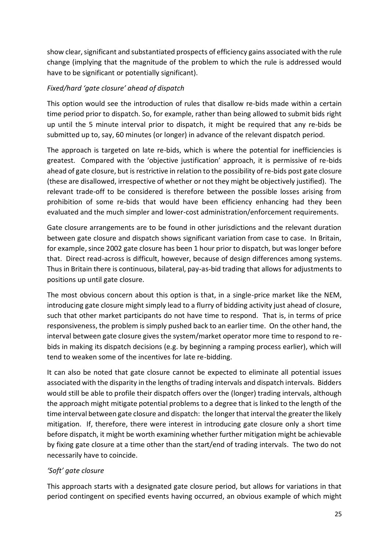show clear, significant and substantiated prospects of efficiency gains associated with the rule change (implying that the magnitude of the problem to which the rule is addressed would have to be significant or potentially significant).

### *Fixed/hard 'gate closure' ahead of dispatch*

This option would see the introduction of rules that disallow re-bids made within a certain time period prior to dispatch. So, for example, rather than being allowed to submit bids right up until the 5 minute interval prior to dispatch, it might be required that any re-bids be submitted up to, say, 60 minutes (or longer) in advance of the relevant dispatch period.

The approach is targeted on late re-bids, which is where the potential for inefficiencies is greatest. Compared with the 'objective justification' approach, it is permissive of re-bids ahead of gate closure, but is restrictive in relation to the possibility of re-bids post gate closure (these are disallowed, irrespective of whether or not they might be objectively justified). The relevant trade-off to be considered is therefore between the possible losses arising from prohibition of some re-bids that would have been efficiency enhancing had they been evaluated and the much simpler and lower-cost administration/enforcement requirements.

Gate closure arrangements are to be found in other jurisdictions and the relevant duration between gate closure and dispatch shows significant variation from case to case. In Britain, for example, since 2002 gate closure has been 1 hour prior to dispatch, but was longer before that. Direct read-across is difficult, however, because of design differences among systems. Thus in Britain there is continuous, bilateral, pay-as-bid trading that allows for adjustments to positions up until gate closure.

The most obvious concern about this option is that, in a single-price market like the NEM, introducing gate closure might simply lead to a flurry of bidding activity just ahead of closure, such that other market participants do not have time to respond. That is, in terms of price responsiveness, the problem is simply pushed back to an earlier time. On the other hand, the interval between gate closure gives the system/market operator more time to respond to rebids in making its dispatch decisions (e.g. by beginning a ramping process earlier), which will tend to weaken some of the incentives for late re-bidding.

It can also be noted that gate closure cannot be expected to eliminate all potential issues associated with the disparity in the lengths of trading intervals and dispatch intervals. Bidders would still be able to profile their dispatch offers over the (longer) trading intervals, although the approach might mitigate potential problems to a degree that is linked to the length of the time interval between gate closure and dispatch: the longer that interval the greater the likely mitigation. If, therefore, there were interest in introducing gate closure only a short time before dispatch, it might be worth examining whether further mitigation might be achievable by fixing gate closure at a time other than the start/end of trading intervals. The two do not necessarily have to coincide.

#### *'Soft' gate closure*

This approach starts with a designated gate closure period, but allows for variations in that period contingent on specified events having occurred, an obvious example of which might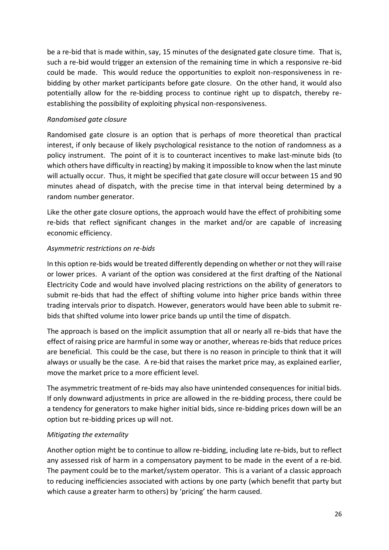be a re-bid that is made within, say, 15 minutes of the designated gate closure time. That is, such a re-bid would trigger an extension of the remaining time in which a responsive re-bid could be made. This would reduce the opportunities to exploit non-responsiveness in rebidding by other market participants before gate closure. On the other hand, it would also potentially allow for the re-bidding process to continue right up to dispatch, thereby reestablishing the possibility of exploiting physical non-responsiveness.

### *Randomised gate closure*

Randomised gate closure is an option that is perhaps of more theoretical than practical interest, if only because of likely psychological resistance to the notion of randomness as a policy instrument. The point of it is to counteract incentives to make last-minute bids (to which others have difficulty in reacting) by making it impossible to know when the last minute will actually occur. Thus, it might be specified that gate closure will occur between 15 and 90 minutes ahead of dispatch, with the precise time in that interval being determined by a random number generator.

Like the other gate closure options, the approach would have the effect of prohibiting some re-bids that reflect significant changes in the market and/or are capable of increasing economic efficiency.

### *Asymmetric restrictions on re-bids*

In this option re-bids would be treated differently depending on whether or not they will raise or lower prices. A variant of the option was considered at the first drafting of the National Electricity Code and would have involved placing restrictions on the ability of generators to submit re-bids that had the effect of shifting volume into higher price bands within three trading intervals prior to dispatch. However, generators would have been able to submit rebids that shifted volume into lower price bands up until the time of dispatch.

The approach is based on the implicit assumption that all or nearly all re-bids that have the effect of raising price are harmful in some way or another, whereas re-bids that reduce prices are beneficial. This could be the case, but there is no reason in principle to think that it will always or usually be the case. A re-bid that raises the market price may, as explained earlier, move the market price to a more efficient level.

The asymmetric treatment of re-bids may also have unintended consequences for initial bids. If only downward adjustments in price are allowed in the re-bidding process, there could be a tendency for generators to make higher initial bids, since re-bidding prices down will be an option but re-bidding prices up will not.

## *Mitigating the externality*

Another option might be to continue to allow re-bidding, including late re-bids, but to reflect any assessed risk of harm in a compensatory payment to be made in the event of a re-bid. The payment could be to the market/system operator. This is a variant of a classic approach to reducing inefficiencies associated with actions by one party (which benefit that party but which cause a greater harm to others) by 'pricing' the harm caused.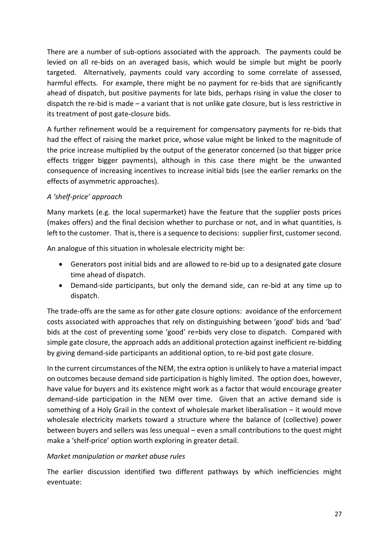There are a number of sub-options associated with the approach. The payments could be levied on all re-bids on an averaged basis, which would be simple but might be poorly targeted. Alternatively, payments could vary according to some correlate of assessed, harmful effects. For example, there might be no payment for re-bids that are significantly ahead of dispatch, but positive payments for late bids, perhaps rising in value the closer to dispatch the re-bid is made – a variant that is not unlike gate closure, but is less restrictive in its treatment of post gate-closure bids.

A further refinement would be a requirement for compensatory payments for re-bids that had the effect of raising the market price, whose value might be linked to the magnitude of the price increase multiplied by the output of the generator concerned (so that bigger price effects trigger bigger payments), although in this case there might be the unwanted consequence of increasing incentives to increase initial bids (see the earlier remarks on the effects of asymmetric approaches).

### *A 'shelf-price' approach*

Many markets (e.g. the local supermarket) have the feature that the supplier posts prices (makes offers) and the final decision whether to purchase or not, and in what quantities, is left to the customer. That is, there is a sequence to decisions: supplier first, customer second.

An analogue of this situation in wholesale electricity might be:

- Generators post initial bids and are allowed to re-bid up to a designated gate closure time ahead of dispatch.
- Demand-side participants, but only the demand side, can re-bid at any time up to dispatch.

The trade-offs are the same as for other gate closure options: avoidance of the enforcement costs associated with approaches that rely on distinguishing between 'good' bids and 'bad' bids at the cost of preventing some 'good' re=bids very close to dispatch. Compared with simple gate closure, the approach adds an additional protection against inefficient re-bidding by giving demand-side participants an additional option, to re-bid post gate closure.

In the current circumstances of the NEM, the extra option is unlikely to have a material impact on outcomes because demand side participation is highly limited. The option does, however, have value for buyers and its existence might work as a factor that would encourage greater demand-side participation in the NEM over time. Given that an active demand side is something of a Holy Grail in the context of wholesale market liberalisation – it would move wholesale electricity markets toward a structure where the balance of (collective) power between buyers and sellers was less unequal – even a small contributions to the quest might make a 'shelf-price' option worth exploring in greater detail.

#### *Market manipulation or market abuse rules*

The earlier discussion identified two different pathways by which inefficiencies might eventuate: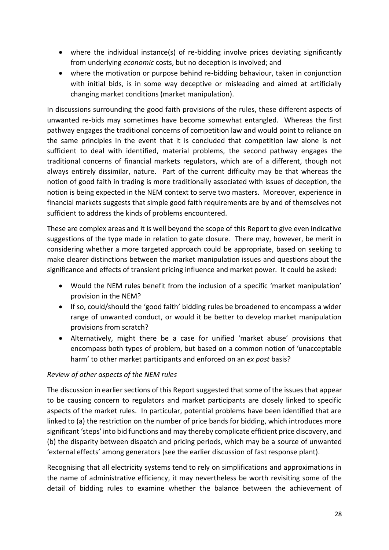- where the individual instance(s) of re-bidding involve prices deviating significantly from underlying *economic* costs, but no deception is involved; and
- where the motivation or purpose behind re-bidding behaviour, taken in conjunction with initial bids, is in some way deceptive or misleading and aimed at artificially changing market conditions (market manipulation).

In discussions surrounding the good faith provisions of the rules, these different aspects of unwanted re-bids may sometimes have become somewhat entangled. Whereas the first pathway engages the traditional concerns of competition law and would point to reliance on the same principles in the event that it is concluded that competition law alone is not sufficient to deal with identified, material problems, the second pathway engages the traditional concerns of financial markets regulators, which are of a different, though not always entirely dissimilar, nature. Part of the current difficulty may be that whereas the notion of good faith in trading is more traditionally associated with issues of deception, the notion is being expected in the NEM context to serve two masters. Moreover, experience in financial markets suggests that simple good faith requirements are by and of themselves not sufficient to address the kinds of problems encountered.

These are complex areas and it is well beyond the scope of this Report to give even indicative suggestions of the type made in relation to gate closure. There may, however, be merit in considering whether a more targeted approach could be appropriate, based on seeking to make clearer distinctions between the market manipulation issues and questions about the significance and effects of transient pricing influence and market power. It could be asked:

- Would the NEM rules benefit from the inclusion of a specific 'market manipulation' provision in the NEM?
- If so, could/should the 'good faith' bidding rules be broadened to encompass a wider range of unwanted conduct, or would it be better to develop market manipulation provisions from scratch?
- Alternatively, might there be a case for unified 'market abuse' provisions that encompass both types of problem, but based on a common notion of 'unacceptable harm' to other market participants and enforced on an *ex post* basis?

## *Review of other aspects of the NEM rules*

The discussion in earlier sections of this Report suggested that some of the issues that appear to be causing concern to regulators and market participants are closely linked to specific aspects of the market rules. In particular, potential problems have been identified that are linked to (a) the restriction on the number of price bands for bidding, which introduces more significant 'steps' into bid functions and may thereby complicate efficient price discovery, and (b) the disparity between dispatch and pricing periods, which may be a source of unwanted 'external effects' among generators (see the earlier discussion of fast response plant).

Recognising that all electricity systems tend to rely on simplifications and approximations in the name of administrative efficiency, it may nevertheless be worth revisiting some of the detail of bidding rules to examine whether the balance between the achievement of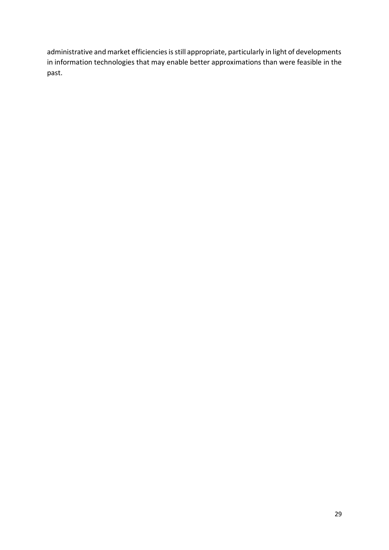administrative and market efficiencies is still appropriate, particularly in light of developments in information technologies that may enable better approximations than were feasible in the past.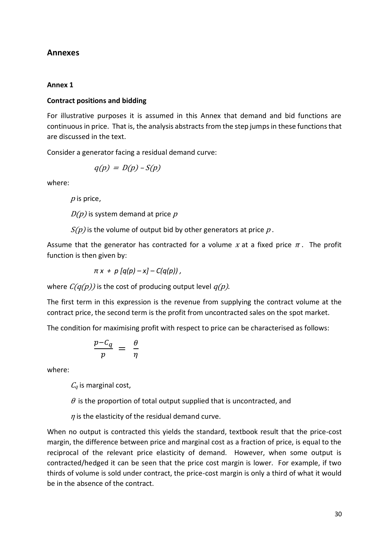### **Annexes**

#### **Annex 1**

#### **Contract positions and bidding**

For illustrative purposes it is assumed in this Annex that demand and bid functions are continuous in price. That is, the analysis abstracts from the step jumps in these functions that are discussed in the text.

Consider a generator facing a residual demand curve:

$$
q(p) = D(p) - S(p)
$$

where:

 $p$  is price,

 $D(p)$  is system demand at price p

 $S(p)$  is the volume of output bid by other generators at price p.

Assume that the generator has contracted for a volume x at a fixed price  $\pi$ . The profit function is then given by:

$$
\pi x + p [q(p) - x] - C(q(p)),
$$

where  $C(q(p))$  is the cost of producing output level  $q(p)$ .

The first term in this expression is the revenue from supplying the contract volume at the contract price, the second term is the profit from uncontracted sales on the spot market.

The condition for maximising profit with respect to price can be characterised as follows:

$$
\frac{p - C_q}{p} = \frac{\theta}{\eta}
$$

where:

 $C_q$  is marginal cost,

 $\theta$  is the proportion of total output supplied that is uncontracted, and

 $\eta$  is the elasticity of the residual demand curve.

When no output is contracted this yields the standard, textbook result that the price-cost margin, the difference between price and marginal cost as a fraction of price, is equal to the reciprocal of the relevant price elasticity of demand. However, when some output is contracted/hedged it can be seen that the price cost margin is lower. For example, if two thirds of volume is sold under contract, the price-cost margin is only a third of what it would be in the absence of the contract.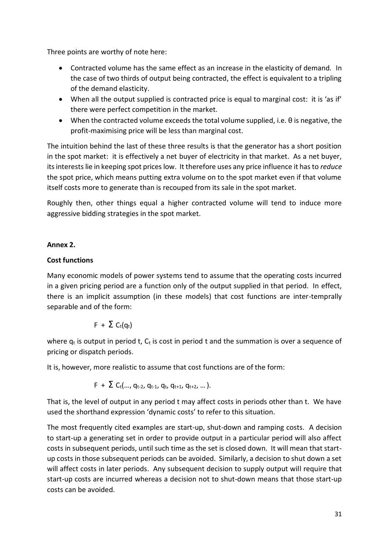Three points are worthy of note here:

- Contracted volume has the same effect as an increase in the elasticity of demand. In the case of two thirds of output being contracted, the effect is equivalent to a tripling of the demand elasticity.
- When all the output supplied is contracted price is equal to marginal cost: it is 'as if' there were perfect competition in the market.
- $\bullet$  When the contracted volume exceeds the total volume supplied, i.e.  $\theta$  is negative, the profit-maximising price will be less than marginal cost.

The intuition behind the last of these three results is that the generator has a short position in the spot market: it is effectively a net buyer of electricity in that market. As a net buyer, its interests lie in keeping spot prices low. It therefore uses any price influence it has to *reduce*  the spot price, which means putting extra volume on to the spot market even if that volume itself costs more to generate than is recouped from its sale in the spot market.

Roughly then, other things equal a higher contracted volume will tend to induce more aggressive bidding strategies in the spot market.

### **Annex 2.**

## **Cost functions**

Many economic models of power systems tend to assume that the operating costs incurred in a given pricing period are a function only of the output supplied in that period. In effect, there is an implicit assumption (in these models) that cost functions are inter-temprally separable and of the form:

$$
F + \Sigma C_t(q_t)
$$

where  $q_t$  is output in period t,  $C_t$  is cost in period t and the summation is over a sequence of pricing or dispatch periods.

It is, however, more realistic to assume that cost functions are of the form:

$$
F + \sum C_t(..., q_{t-2}, q_{t-1}, q_t, q_{t+1}, q_{t+2}, ...).
$$

That is, the level of output in any period t may affect costs in periods other than t. We have used the shorthand expression 'dynamic costs' to refer to this situation.

The most frequently cited examples are start-up, shut-down and ramping costs. A decision to start-up a generating set in order to provide output in a particular period will also affect costs in subsequent periods, until such time as the set is closed down. It will mean that startup costs in those subsequent periods can be avoided. Similarly, a decision to shut down a set will affect costs in later periods. Any subsequent decision to supply output will require that start-up costs are incurred whereas a decision not to shut-down means that those start-up costs can be avoided.